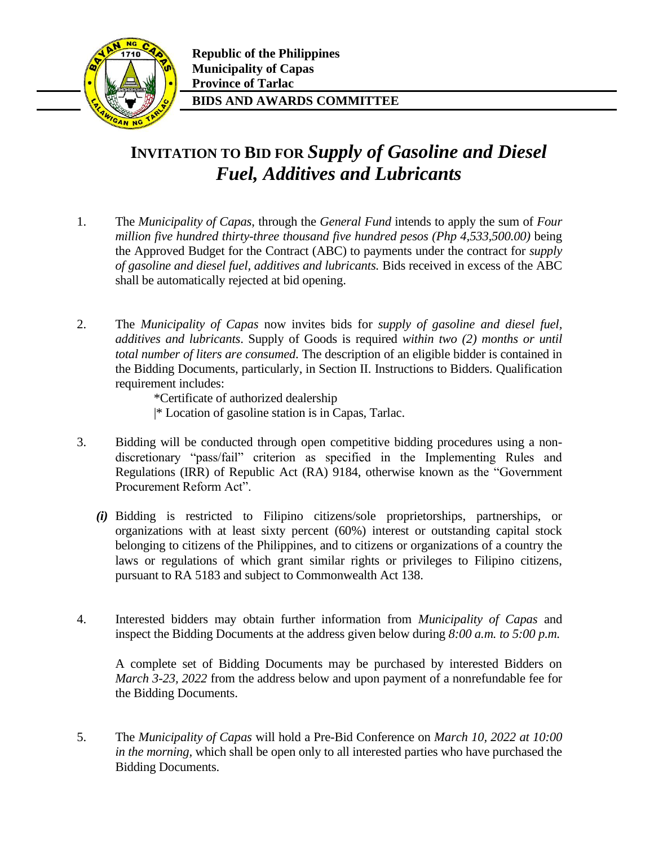

## **INVITATION TO BID FOR** *Supply of Gasoline and Diesel Fuel, Additives and Lubricants*

- 1. The *Municipality of Capas*, through the *General Fund* intends to apply the sum of *Four million five hundred thirty-three thousand five hundred pesos (Php 4,533,500.00)* being the Approved Budget for the Contract (ABC) to payments under the contract for *supply of gasoline and diesel fuel, additives and lubricants.* Bids received in excess of the ABC shall be automatically rejected at bid opening.
- 2. The *Municipality of Capas* now invites bids for *supply of gasoline and diesel fuel, additives and lubricants*. Supply of Goods is required *within two (2) months or until total number of liters are consumed*. The description of an eligible bidder is contained in the Bidding Documents, particularly, in Section II. Instructions to Bidders. Qualification requirement includes:

\*Certificate of authorized dealership

- |\* Location of gasoline station is in Capas, Tarlac.
- 3. Bidding will be conducted through open competitive bidding procedures using a nondiscretionary "pass/fail" criterion as specified in the Implementing Rules and Regulations (IRR) of Republic Act (RA) 9184, otherwise known as the "Government Procurement Reform Act".
	- *(i)* Bidding is restricted to Filipino citizens/sole proprietorships, partnerships, or organizations with at least sixty percent (60%) interest or outstanding capital stock belonging to citizens of the Philippines, and to citizens or organizations of a country the laws or regulations of which grant similar rights or privileges to Filipino citizens, pursuant to RA 5183 and subject to Commonwealth Act 138.
- 4. Interested bidders may obtain further information from *Municipality of Capas* and inspect the Bidding Documents at the address given below during *8:00 a.m. to 5:00 p.m.*

A complete set of Bidding Documents may be purchased by interested Bidders on *March 3-23, 2022* from the address below and upon payment of a nonrefundable fee for the Bidding Documents.

5. The *Municipality of Capas* will hold a Pre-Bid Conference on *March 10, 2022 at 10:00 in the morning,* which shall be open only to all interested parties who have purchased the Bidding Documents.